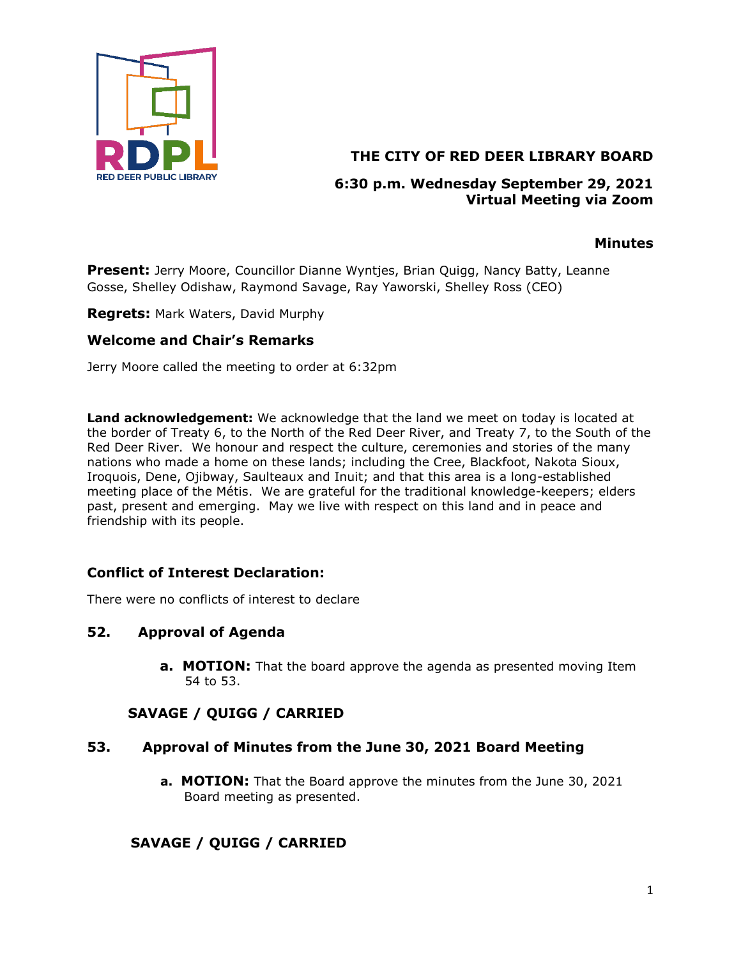

# **THE CITY OF RED DEER LIBRARY BOARD**

## **6:30 p.m. Wednesday September 29, 2021 Virtual Meeting via Zoom**

### **Minutes**

**Present:** Jerry Moore, Councillor Dianne Wyntjes, Brian Quigg, Nancy Batty, Leanne Gosse, Shelley Odishaw, Raymond Savage, Ray Yaworski, Shelley Ross (CEO)

**Regrets:** Mark Waters, David Murphy

### **Welcome and Chair's Remarks**

Jerry Moore called the meeting to order at 6:32pm

**Land acknowledgement:** We acknowledge that the land we meet on today is located at the border of Treaty 6, to the North of the Red Deer River, and Treaty 7, to the South of the Red Deer River. We honour and respect the culture, ceremonies and stories of the many nations who made a home on these lands; including the Cree, Blackfoot, Nakota Sioux, Iroquois, Dene, Ojibway, Saulteaux and Inuit; and that this area is a long-established meeting place of the Métis. We are grateful for the traditional knowledge-keepers; elders past, present and emerging. May we live with respect on this land and in peace and friendship with its people.

### **Conflict of Interest Declaration:**

There were no conflicts of interest to declare

### **52. Approval of Agenda**

**a. MOTION:** That the board approve the agenda as presented moving Item 54 to 53.

## **SAVAGE / QUIGG / CARRIED**

### **53. Approval of Minutes from the June 30, 2021 Board Meeting**

 **a. MOTION:** That the Board approve the minutes from the June 30, 2021 Board meeting as presented.

## **SAVAGE / QUIGG / CARRIED**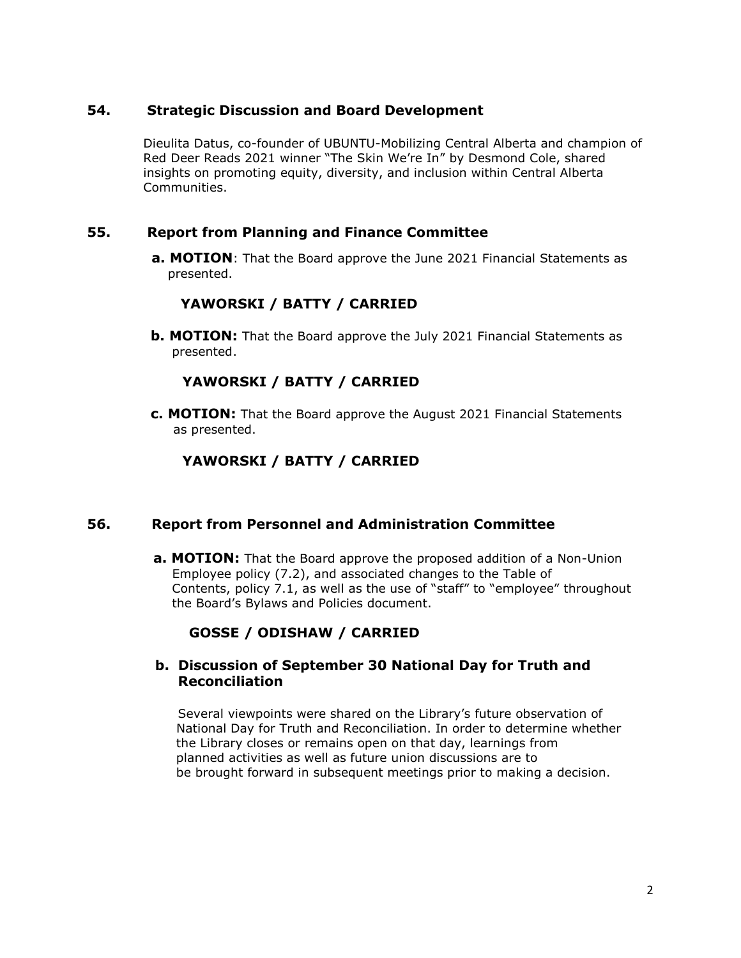### **54. Strategic Discussion and Board Development**

 Dieulita Datus, co-founder of UBUNTU-Mobilizing Central Alberta and champion of Red Deer Reads 2021 winner "The Skin We're In" by Desmond Cole, shared insights on promoting equity, diversity, and inclusion within Central Alberta Communities.

### **55. Report from Planning and Finance Committee**

 **a. MOTION**: That the Board approve the June 2021 Financial Statements as presented.

# **YAWORSKI / BATTY / CARRIED**

**b. MOTION:** That the Board approve the July 2021 Financial Statements as presented.

## **YAWORSKI / BATTY / CARRIED**

 **c. MOTION:** That the Board approve the August 2021 Financial Statements as presented.

# **YAWORSKI / BATTY / CARRIED**

### **56. Report from Personnel and Administration Committee**

**a. MOTION:** That the Board approve the proposed addition of a Non-Union Employee policy (7.2), and associated changes to the Table of Contents, policy 7.1, as well as the use of "staff" to "employee" throughout the Board's Bylaws and Policies document.

## **GOSSE / ODISHAW / CARRIED**

### **b. Discussion of September 30 National Day for Truth and Reconciliation**

Several viewpoints were shared on the Library's future observation of National Day for Truth and Reconciliation. In order to determine whether the Library closes or remains open on that day, learnings from planned activities as well as future union discussions are to be brought forward in subsequent meetings prior to making a decision.